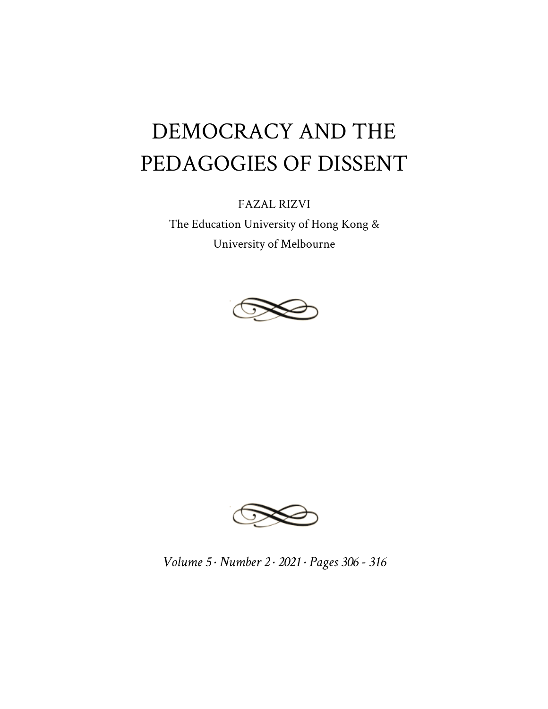## DEMOCRACY AND THE PEDAGOGIES OF DISSENT

FAZAL RIZVI

The Education University of Hong Kong & University of Melbourne





*Volume 5 · Number 2 · 2021 · Pages 306 - 316*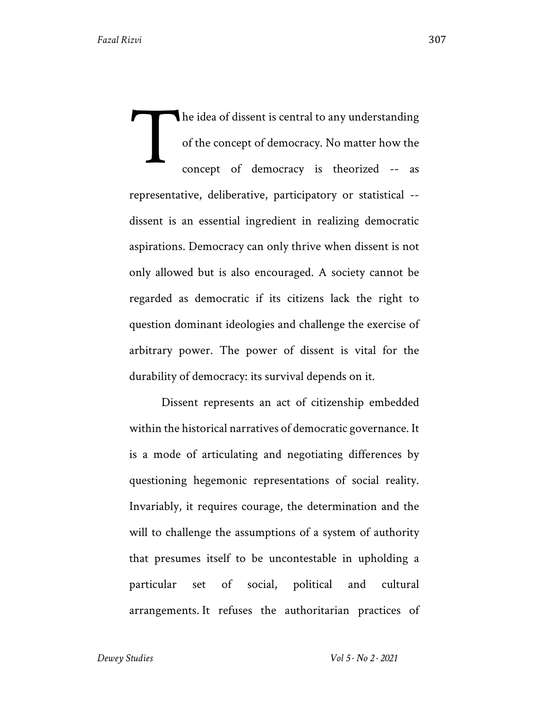The idea of dissent is central to any understanding of the concept of democracy. No matter how the concept of democracy is theorized -- as representative, deliberative, participatory or statistical - dissent is an essential ingredient in realizing democratic aspirations. Democracy can only thrive when dissent is not only allowed but is also encouraged. A society cannot be regarded as democratic if its citizens lack the right to question dominant ideologies and challenge the exercise of arbitrary power. The power of dissent is vital for the durability of democracy: its survival depends on it. T

Dissent represents an act of citizenship embedded within the historical narratives of democratic governance. It is a mode of articulating and negotiating differences by questioning hegemonic representations of social reality. Invariably, it requires courage, the determination and the will to challenge the assumptions of a system of authority that presumes itself to be uncontestable in upholding a particular set of social, political and cultural arrangements. It refuses the authoritarian practices of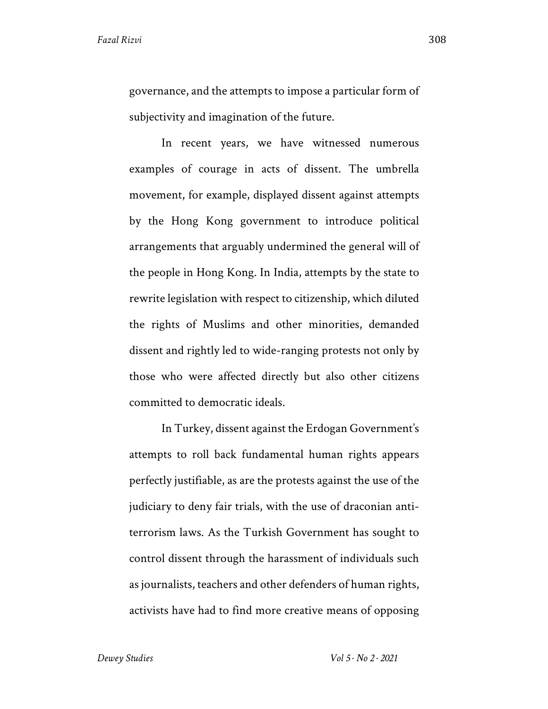governance, and the attempts to impose a particular form of subjectivity and imagination of the future.

In recent years, we have witnessed numerous examples of courage in acts of dissent. The umbrella movement, for example, displayed dissent against attempts by the Hong Kong government to introduce political arrangements that arguably undermined the general will of the people in Hong Kong. In India, attempts by the state to rewrite legislation with respect to citizenship, which diluted the rights of Muslims and other minorities, demanded dissent and rightly led to wide-ranging protests not only by those who were affected directly but also other citizens committed to democratic ideals.

In Turkey, dissent against the Erdogan Government's attempts to roll back fundamental human rights appears perfectly justifiable, as are the protests against the use of the judiciary to deny fair trials, with the use of draconian antiterrorism laws. As the Turkish Government has sought to control dissent through the harassment of individuals such as journalists, teachers and other defenders of human rights, activists have had to find more creative means of opposing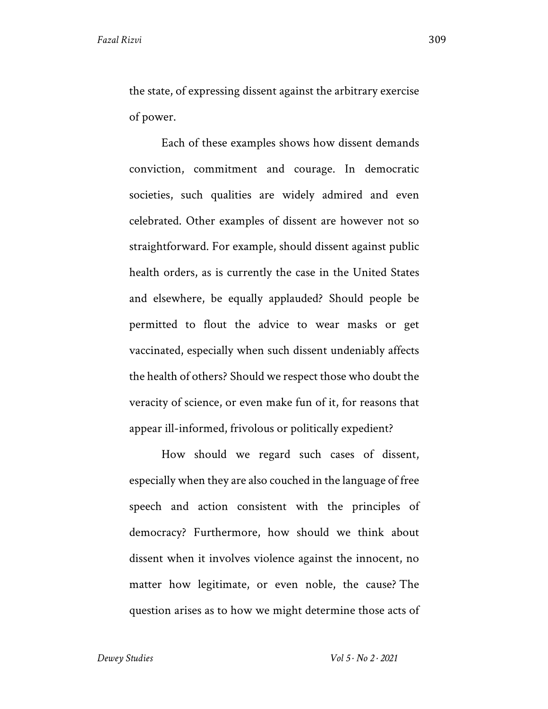the state, of expressing dissent against the arbitrary exercise of power.

Each of these examples shows how dissent demands conviction, commitment and courage. In democratic societies, such qualities are widely admired and even celebrated. Other examples of dissent are however not so straightforward. For example, should dissent against public health orders, as is currently the case in the United States and elsewhere, be equally applauded? Should people be permitted to flout the advice to wear masks or get vaccinated, especially when such dissent undeniably affects the health of others? Should we respect those who doubt the veracity of science, or even make fun of it, for reasons that appear ill-informed, frivolous or politically expedient?

How should we regard such cases of dissent, especially when they are also couched in the language of free speech and action consistent with the principles of democracy? Furthermore, how should we think about dissent when it involves violence against the innocent, no matter how legitimate, or even noble, the cause? The question arises as to how we might determine those acts of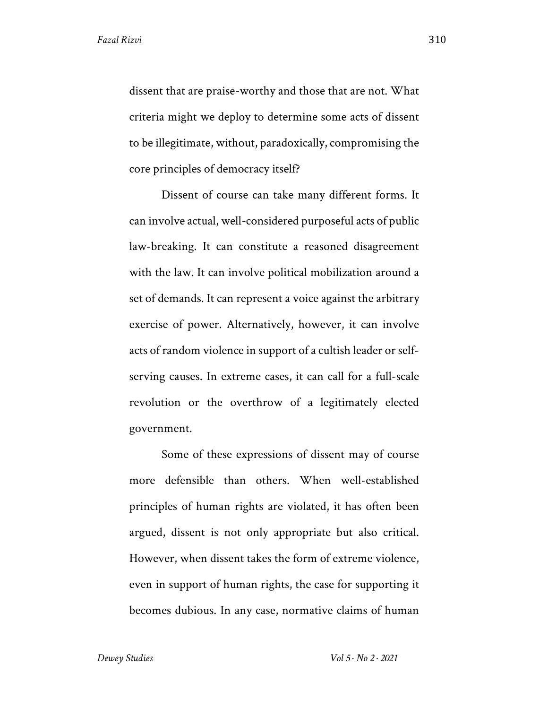dissent that are praise-worthy and those that are not. What criteria might we deploy to determine some acts of dissent to be illegitimate, without, paradoxically, compromising the core principles of democracy itself?

Dissent of course can take many different forms. It can involve actual, well-considered purposeful acts of public law-breaking. It can constitute a reasoned disagreement with the law. It can involve political mobilization around a set of demands. It can represent a voice against the arbitrary exercise of power. Alternatively, however, it can involve acts of random violence in support of a cultish leader or selfserving causes. In extreme cases, it can call for a full-scale revolution or the overthrow of a legitimately elected government.

Some of these expressions of dissent may of course more defensible than others. When well-established principles of human rights are violated, it has often been argued, dissent is not only appropriate but also critical. However, when dissent takes the form of extreme violence, even in support of human rights, the case for supporting it becomes dubious. In any case, normative claims of human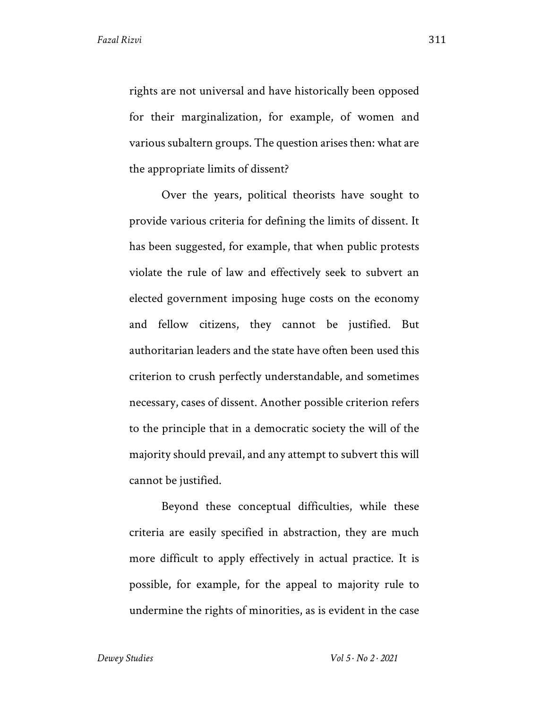rights are not universal and have historically been opposed for their marginalization, for example, of women and various subaltern groups. The question arises then: what are the appropriate limits of dissent?

Over the years, political theorists have sought to provide various criteria for defining the limits of dissent. It has been suggested, for example, that when public protests violate the rule of law and effectively seek to subvert an elected government imposing huge costs on the economy and fellow citizens, they cannot be justified. But authoritarian leaders and the state have often been used this criterion to crush perfectly understandable, and sometimes necessary, cases of dissent. Another possible criterion refers to the principle that in a democratic society the will of the majority should prevail, and any attempt to subvert this will cannot be justified.

Beyond these conceptual difficulties, while these criteria are easily specified in abstraction, they are much more difficult to apply effectively in actual practice. It is possible, for example, for the appeal to majority rule to undermine the rights of minorities, as is evident in the case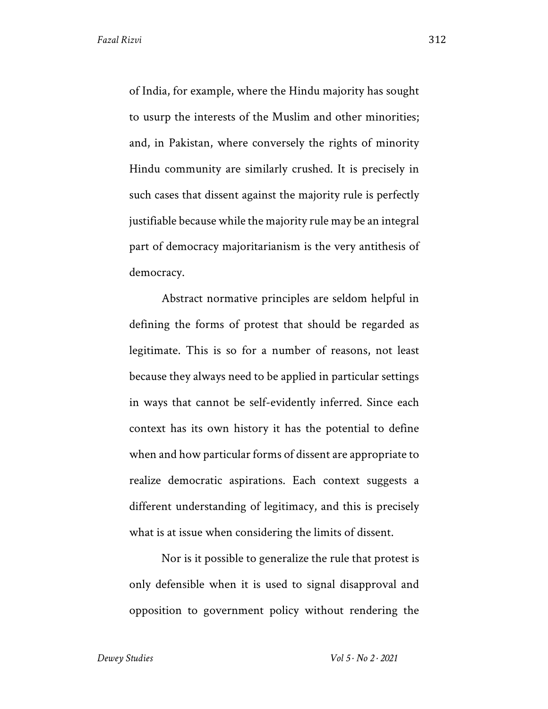of India, for example, where the Hindu majority has sought to usurp the interests of the Muslim and other minorities; and, in Pakistan, where conversely the rights of minority Hindu community are similarly crushed. It is precisely in such cases that dissent against the majority rule is perfectly justifiable because while the majority rule may be an integral part of democracy majoritarianism is the very antithesis of democracy.

Abstract normative principles are seldom helpful in defining the forms of protest that should be regarded as legitimate. This is so for a number of reasons, not least because they always need to be applied in particular settings in ways that cannot be self-evidently inferred. Since each context has its own history it has the potential to define when and how particular forms of dissent are appropriate to realize democratic aspirations. Each context suggests a different understanding of legitimacy, and this is precisely what is at issue when considering the limits of dissent.

Nor is it possible to generalize the rule that protest is only defensible when it is used to signal disapproval and opposition to government policy without rendering the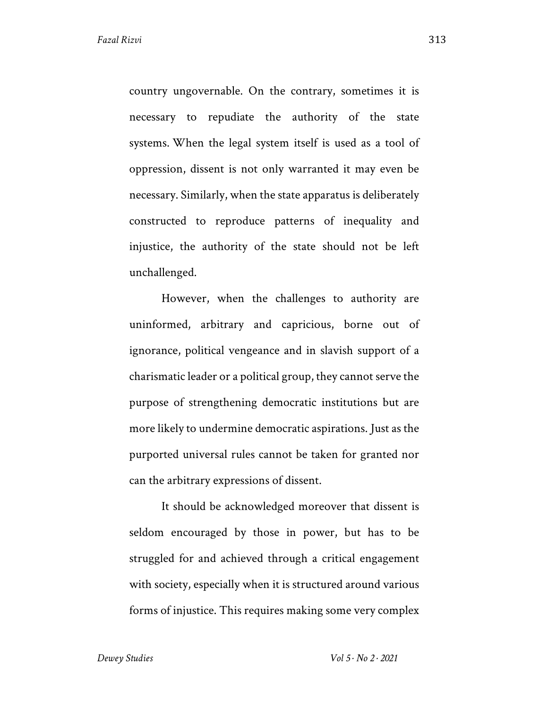country ungovernable. On the contrary, sometimes it is necessary to repudiate the authority of the state systems. When the legal system itself is used as a tool of oppression, dissent is not only warranted it may even be necessary. Similarly, when the state apparatus is deliberately constructed to reproduce patterns of inequality and injustice, the authority of the state should not be left unchallenged.

However, when the challenges to authority are uninformed, arbitrary and capricious, borne out of ignorance, political vengeance and in slavish support of a charismatic leader or a political group, they cannot serve the purpose of strengthening democratic institutions but are more likely to undermine democratic aspirations. Just as the purported universal rules cannot be taken for granted nor can the arbitrary expressions of dissent.

It should be acknowledged moreover that dissent is seldom encouraged by those in power, but has to be struggled for and achieved through a critical engagement with society, especially when it is structured around various forms of injustice. This requires making some very complex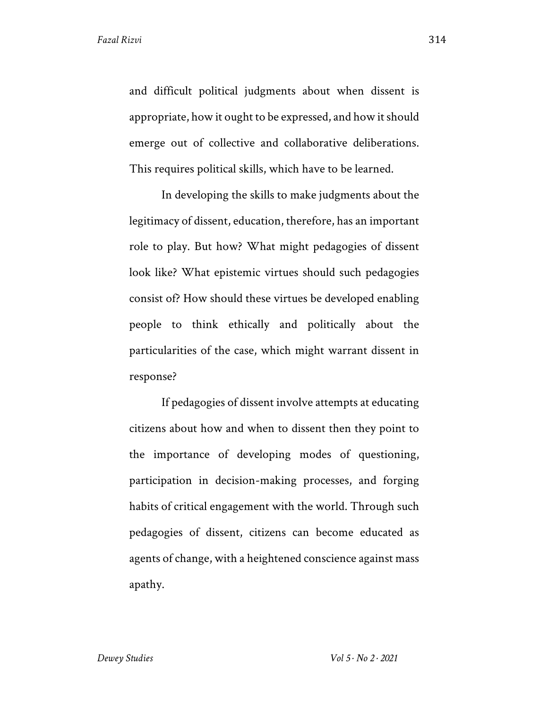and difficult political judgments about when dissent is appropriate, how it ought to be expressed, and how it should emerge out of collective and collaborative deliberations. This requires political skills, which have to be learned.

In developing the skills to make judgments about the legitimacy of dissent, education, therefore, has an important role to play. But how? What might pedagogies of dissent look like? What epistemic virtues should such pedagogies consist of? How should these virtues be developed enabling people to think ethically and politically about the particularities of the case, which might warrant dissent in response?

If pedagogies of dissent involve attempts at educating citizens about how and when to dissent then they point to the importance of developing modes of questioning, participation in decision-making processes, and forging habits of critical engagement with the world. Through such pedagogies of dissent, citizens can become educated as agents of change, with a heightened conscience against mass apathy.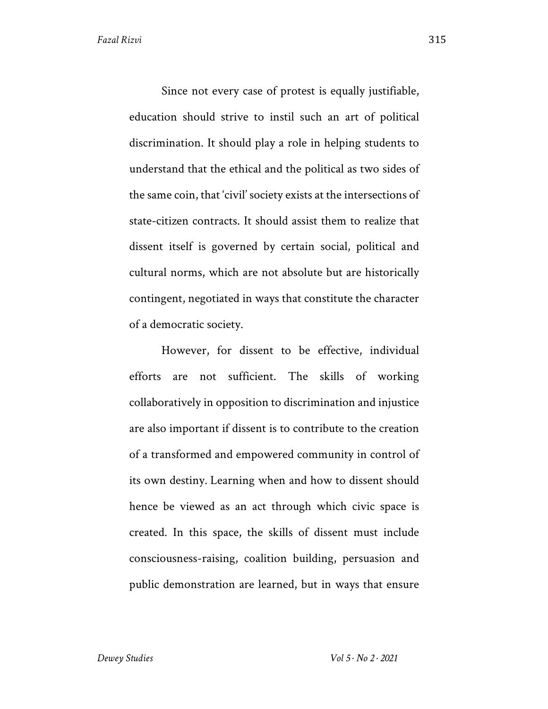Since not every case of protest is equally justifiable, education should strive to instil such an art of political discrimination. It should play a role in helping students to understand that the ethical and the political as two sides of the same coin, that 'civil' society exists at the intersections of state-citizen contracts. It should assist them to realize that dissent itself is governed by certain social, political and cultural norms, which are not absolute but are historically contingent, negotiated in ways that constitute the character of a democratic society.

However, for dissent to be effective, individual efforts are not sufficient. The skills of working collaboratively in opposition to discrimination and injustice are also important if dissent is to contribute to the creation of a transformed and empowered community in control of its own destiny. Learning when and how to dissent should hence be viewed as an act through which civic space is created. In this space, the skills of dissent must include consciousness-raising, coalition building, persuasion and public demonstration are learned, but in ways that ensure